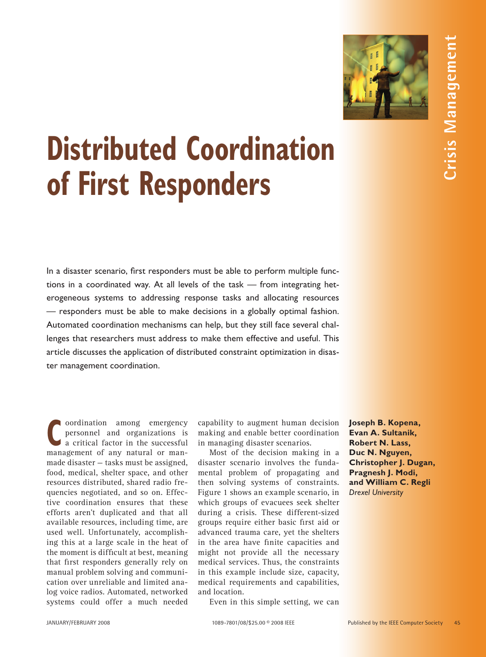

# **Distributed Coordination of First Responders**

In a disaster scenario, first responders must be able to perform multiple functions in a coordinated way. At all levels of the task — from integrating heterogeneous systems to addressing response tasks and allocating resources — responders must be able to make decisions in a globally optimal fashion. Automated coordination mechanisms can help, but they still face several challenges that researchers must address to make them effective and useful. This article discusses the application of distributed constraint optimization in disaster management coordination.

**C**oordination among emergency<br>
a critical factor in the successful<br>
a critical factor in the successful personnel and organizations is a critical factor in the successful management of any natural or manmade disaster — tasks must be assigned, food, medical, shelter space, and other resources distributed, shared radio frequencies negotiated, and so on. Effective coordination ensures that these efforts aren't duplicated and that all available resources, including time, are used well. Unfortunately, accomplishing this at a large scale in the heat of the moment is difficult at best, meaning that first responders generally rely on manual problem solving and communication over unreliable and limited analog voice radios. Automated, networked systems could offer a much needed

capability to augment human decision making and enable better coordination in managing disaster scenarios.

Most of the decision making in a disaster scenario involves the fundamental problem of propagating and then solving systems of constraints. Figure 1 shows an example scenario, in which groups of evacuees seek shelter during a crisis. These different-sized groups require either basic first aid or advanced trauma care, yet the shelters in the area have finite capacities and might not provide all the necessary medical services. Thus, the constraints in this example include size, capacity, medical requirements and capabilities, and location.

Even in this simple setting, we can

**Joseph B. Kopena, Evan A. Sultanik, Robert N. Lass, Duc N. Nguyen, Christopher J. Dugan, Pragnesh J. Modi, and William C. Regli** *Drexel University*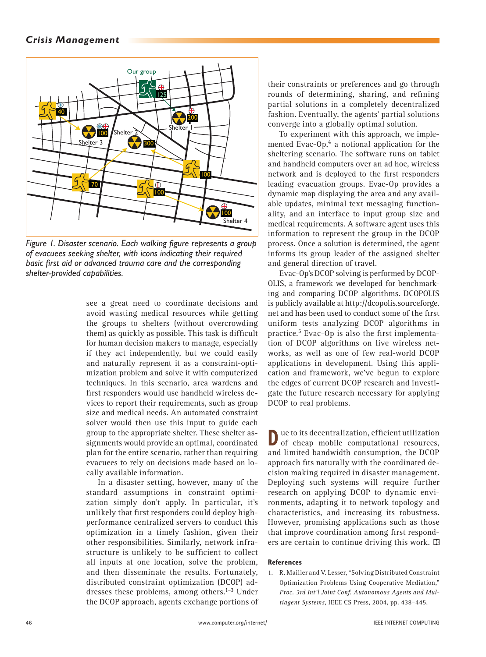

*Figure 1. Disaster scenario. Each walking figure represents a group of evacuees seeking shelter, with icons indicating their required basic first aid or advanced trauma care and the corresponding shelter-provided capabilities.*

see a great need to coordinate decisions and avoid wasting medical resources while getting the groups to shelters (without overcrowding them) as quickly as possible. This task is difficult for human decision makers to manage, especially if they act independently, but we could easily and naturally represent it as a constraint-optimization problem and solve it with computerized techniques. In this scenario, area wardens and first responders would use handheld wireless devices to report their requirements, such as group size and medical needs. An automated constraint solver would then use this input to guide each group to the appropriate shelter. These shelter assignments would provide an optimal, coordinated plan for the entire scenario, rather than requiring evacuees to rely on decisions made based on locally available information.

In a disaster setting, however, many of the standard assumptions in constraint optimization simply don't apply. In particular, it's unlikely that first responders could deploy highperformance centralized servers to conduct this optimization in a timely fashion, given their other responsibilities. Similarly, network infrastructure is unlikely to be sufficient to collect all inputs at one location, solve the problem, and then disseminate the results. Fortunately, distributed constraint optimization (DCOP) addresses these problems, among others.<sup>1-3</sup> Under the DCOP approach, agents exchange portions of their constraints or preferences and go through rounds of determining, sharing, and refining partial solutions in a completely decentralized fashion. Eventually, the agents' partial solutions converge into a globally optimal solution.

To experiment with this approach, we implemented Evac-Op, $4$  a notional application for the sheltering scenario. The software runs on tablet and handheld computers over an ad hoc, wireless network and is deployed to the first responders leading evacuation groups. Evac-Op provides a dynamic map displaying the area and any available updates, minimal text messaging functionality, and an interface to input group size and medical requirements. A software agent uses this information to represent the group in the DCOP process. Once a solution is determined, the agent informs its group leader of the assigned shelter and general direction of travel.

Evac-Op's DCOP solving is performed by DCOP-OLIS, a framework we developed for benchmarking and comparing DCOP algorithms. DCOPOLIS is publicly available at http://dcopolis.sourceforge. net and has been used to conduct some of the first uniform tests analyzing DCOP algorithms in practice.<sup>5</sup> Evac-Op is also the first implementation of DCOP algorithms on live wireless networks, as well as one of few real-world DCOP applications in development. Using this application and framework, we've begun to explore the edges of current DCOP research and investigate the future research necessary for applying DCOP to real problems.

**D** ue to its decentralization, efficient utilization of cheap mobile computational resources, and limited bandwidth consumption, the DCOP approach fits naturally with the coordinated decision making required in disaster management. Deploying such systems will require further research on applying DCOP to dynamic environments, adapting it to network topology and characteristics, and increasing its robustness. However, promising applications such as those that improve coordination among first responders are certain to continue driving this work.

#### **References**

R. Mailler and V. Lesser, "Solving Distributed Constraint 1. Optimization Problems Using Cooperative Mediation," *Proc. 3rd Int'l Joint Conf. Autonomous Agents and Multiagent Systems*, IEEE CS Press, 2004, pp. 438–445.